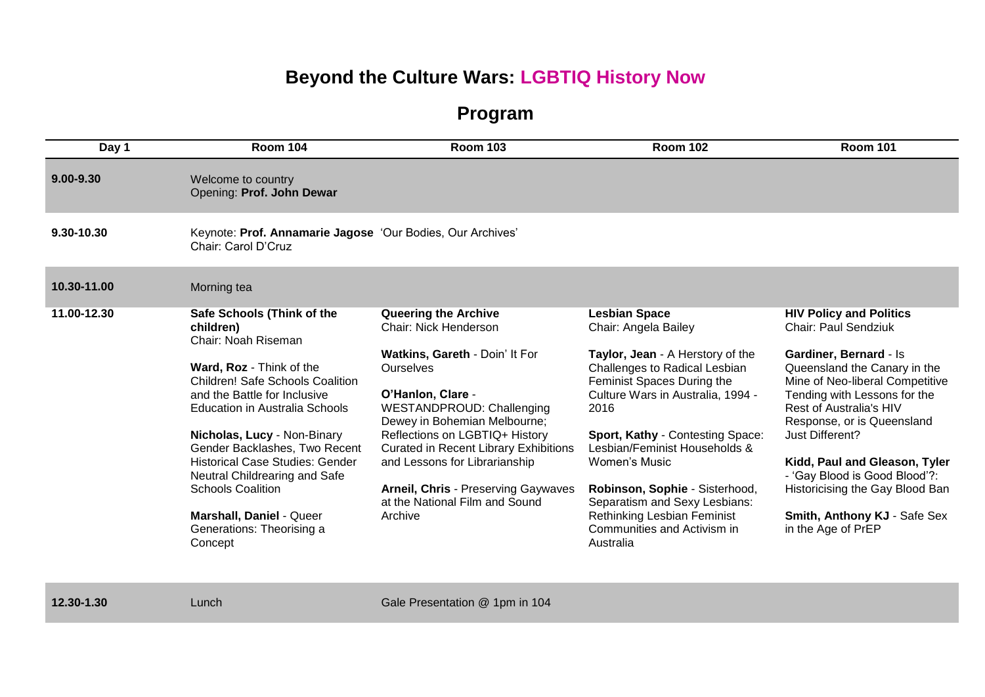## **Beyond the Culture Wars: LGBTIQ History Now**

**Program**

| Day 1         | <b>Room 104</b>                                                                                                                                                                                                                                                                                                                                                                                                                                           | <b>Room 103</b>                                                                                                                                                                                                                                                                                                                                                                                                          | <b>Room 102</b>                                                                                                                                                                                                                                                                                                                                                                                                                  | <b>Room 101</b>                                                                                                                                                                                                                                                                                                                                                                                                            |
|---------------|-----------------------------------------------------------------------------------------------------------------------------------------------------------------------------------------------------------------------------------------------------------------------------------------------------------------------------------------------------------------------------------------------------------------------------------------------------------|--------------------------------------------------------------------------------------------------------------------------------------------------------------------------------------------------------------------------------------------------------------------------------------------------------------------------------------------------------------------------------------------------------------------------|----------------------------------------------------------------------------------------------------------------------------------------------------------------------------------------------------------------------------------------------------------------------------------------------------------------------------------------------------------------------------------------------------------------------------------|----------------------------------------------------------------------------------------------------------------------------------------------------------------------------------------------------------------------------------------------------------------------------------------------------------------------------------------------------------------------------------------------------------------------------|
| $9.00 - 9.30$ | Welcome to country<br>Opening: Prof. John Dewar                                                                                                                                                                                                                                                                                                                                                                                                           |                                                                                                                                                                                                                                                                                                                                                                                                                          |                                                                                                                                                                                                                                                                                                                                                                                                                                  |                                                                                                                                                                                                                                                                                                                                                                                                                            |
| 9.30-10.30    | Keynote: Prof. Annamarie Jagose 'Our Bodies, Our Archives'<br>Chair: Carol D'Cruz                                                                                                                                                                                                                                                                                                                                                                         |                                                                                                                                                                                                                                                                                                                                                                                                                          |                                                                                                                                                                                                                                                                                                                                                                                                                                  |                                                                                                                                                                                                                                                                                                                                                                                                                            |
| 10.30-11.00   | Morning tea                                                                                                                                                                                                                                                                                                                                                                                                                                               |                                                                                                                                                                                                                                                                                                                                                                                                                          |                                                                                                                                                                                                                                                                                                                                                                                                                                  |                                                                                                                                                                                                                                                                                                                                                                                                                            |
| 11.00-12.30   | Safe Schools (Think of the<br>children)<br>Chair: Noah Riseman<br>Ward, Roz - Think of the<br><b>Children! Safe Schools Coalition</b><br>and the Battle for Inclusive<br><b>Education in Australia Schools</b><br>Nicholas, Lucy - Non-Binary<br>Gender Backlashes, Two Recent<br><b>Historical Case Studies: Gender</b><br>Neutral Childrearing and Safe<br><b>Schools Coalition</b><br>Marshall, Daniel - Queer<br>Generations: Theorising a<br>Concept | <b>Queering the Archive</b><br><b>Chair: Nick Henderson</b><br>Watkins, Gareth - Doin' It For<br><b>Ourselves</b><br>O'Hanlon, Clare -<br><b>WESTANDPROUD: Challenging</b><br>Dewey in Bohemian Melbourne;<br>Reflections on LGBTIQ+ History<br><b>Curated in Recent Library Exhibitions</b><br>and Lessons for Librarianship<br><b>Arneil, Chris - Preserving Gaywaves</b><br>at the National Film and Sound<br>Archive | <b>Lesbian Space</b><br>Chair: Angela Bailey<br>Taylor, Jean - A Herstory of the<br>Challenges to Radical Lesbian<br>Feminist Spaces During the<br>Culture Wars in Australia, 1994 -<br>2016<br>Sport, Kathy - Contesting Space:<br>Lesbian/Feminist Households &<br>Women's Music<br>Robinson, Sophie - Sisterhood,<br>Separatism and Sexy Lesbians:<br>Rethinking Lesbian Feminist<br>Communities and Activism in<br>Australia | <b>HIV Policy and Politics</b><br>Chair: Paul Sendziuk<br>Gardiner, Bernard - Is<br>Queensland the Canary in the<br>Mine of Neo-liberal Competitive<br>Tending with Lessons for the<br>Rest of Australia's HIV<br>Response, or is Queensland<br>Just Different?<br>Kidd, Paul and Gleason, Tyler<br>- 'Gay Blood is Good Blood'?:<br>Historicising the Gay Blood Ban<br>Smith, Anthony KJ - Safe Sex<br>in the Age of PrEP |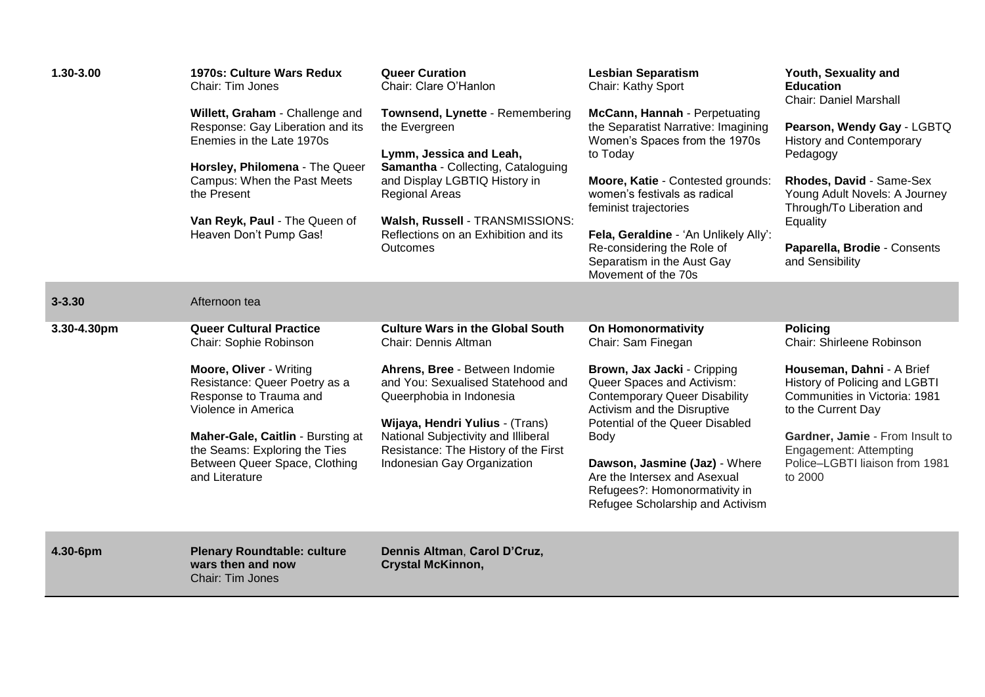| 1.30-3.00   | 1970s: Culture Wars Redux<br>Chair: Tim Jones<br>Willett, Graham - Challenge and<br>Response: Gay Liberation and its<br>Enemies in the Late 1970s<br>Horsley, Philomena - The Queer<br>Campus: When the Past Meets<br>the Present<br>Van Reyk, Paul - The Queen of<br>Heaven Don't Pump Gas!   | <b>Queer Curation</b><br>Chair: Clare O'Hanlon<br>Townsend, Lynette - Remembering<br>the Evergreen<br>Lymm, Jessica and Leah,<br>Samantha - Collecting, Cataloguing<br>and Display LGBTIQ History in<br><b>Regional Areas</b><br>Walsh, Russell - TRANSMISSIONS:<br>Reflections on an Exhibition and its<br><b>Outcomes</b> | <b>Lesbian Separatism</b><br>Chair: Kathy Sport<br>McCann, Hannah - Perpetuating<br>the Separatist Narrative: Imagining<br>Women's Spaces from the 1970s<br>to Today<br>Moore, Katie - Contested grounds:<br>women's festivals as radical<br>feminist trajectories<br>Fela, Geraldine - 'An Unlikely Ally':<br>Re-considering the Role of<br>Separatism in the Aust Gay<br>Movement of the 70s | Youth, Sexuality and<br><b>Education</b><br><b>Chair: Daniel Marshall</b><br>Pearson, Wendy Gay - LGBTQ<br><b>History and Contemporary</b><br>Pedagogy<br>Rhodes, David - Same-Sex<br>Young Adult Novels: A Journey<br>Through/To Liberation and<br>Equality<br>Paparella, Brodie - Consents<br>and Sensibility |
|-------------|------------------------------------------------------------------------------------------------------------------------------------------------------------------------------------------------------------------------------------------------------------------------------------------------|-----------------------------------------------------------------------------------------------------------------------------------------------------------------------------------------------------------------------------------------------------------------------------------------------------------------------------|------------------------------------------------------------------------------------------------------------------------------------------------------------------------------------------------------------------------------------------------------------------------------------------------------------------------------------------------------------------------------------------------|-----------------------------------------------------------------------------------------------------------------------------------------------------------------------------------------------------------------------------------------------------------------------------------------------------------------|
| $3 - 3.30$  | Afternoon tea                                                                                                                                                                                                                                                                                  |                                                                                                                                                                                                                                                                                                                             |                                                                                                                                                                                                                                                                                                                                                                                                |                                                                                                                                                                                                                                                                                                                 |
| 3.30-4.30pm | <b>Queer Cultural Practice</b><br>Chair: Sophie Robinson<br>Moore, Oliver - Writing<br>Resistance: Queer Poetry as a<br>Response to Trauma and<br>Violence in America<br>Maher-Gale, Caitlin - Bursting at<br>the Seams: Exploring the Ties<br>Between Queer Space, Clothing<br>and Literature | <b>Culture Wars in the Global South</b><br>Chair: Dennis Altman<br>Ahrens, Bree - Between Indomie<br>and You: Sexualised Statehood and<br>Queerphobia in Indonesia<br>Wijaya, Hendri Yulius - (Trans)<br>National Subjectivity and Illiberal<br>Resistance: The History of the First<br>Indonesian Gay Organization         | <b>On Homonormativity</b><br>Chair: Sam Finegan<br>Brown, Jax Jacki - Cripping<br>Queer Spaces and Activism:<br><b>Contemporary Queer Disability</b><br>Activism and the Disruptive<br>Potential of the Queer Disabled<br>Body<br>Dawson, Jasmine (Jaz) - Where<br>Are the Intersex and Asexual<br>Refugees?: Homonormativity in<br>Refugee Scholarship and Activism                           | <b>Policing</b><br>Chair: Shirleene Robinson<br>Houseman, Dahni - A Brief<br>History of Policing and LGBTI<br>Communities in Victoria: 1981<br>to the Current Day<br>Gardner, Jamie - From Insult to<br><b>Engagement: Attempting</b><br>Police-LGBTI liaison from 1981<br>to 2000                              |
| 4.30-6pm    | <b>Plenary Roundtable: culture</b><br>wars then and now<br>Chair: Tim Jones                                                                                                                                                                                                                    | Dennis Altman, Carol D'Cruz,<br><b>Crystal McKinnon,</b>                                                                                                                                                                                                                                                                    |                                                                                                                                                                                                                                                                                                                                                                                                |                                                                                                                                                                                                                                                                                                                 |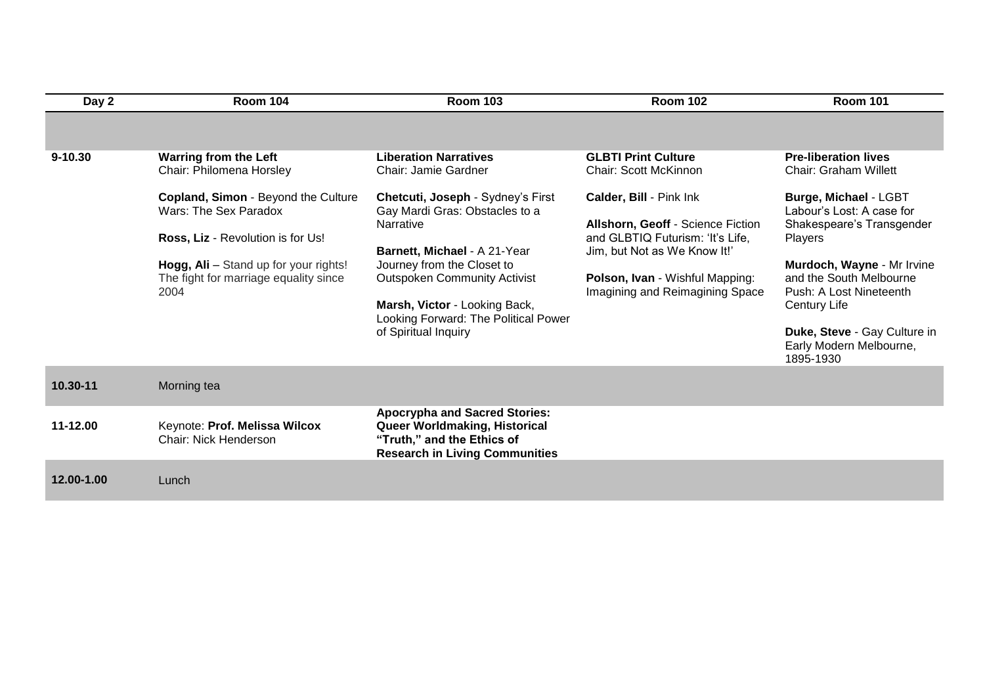| Day 2       | <b>Room 104</b>                                                                                                                                                                             | <b>Room 103</b>                                                                                                                                                                                                                                                                        | <b>Room 102</b>                                                                                                                                                                                        | <b>Room 101</b>                                                                                                                                                                                                                                                        |
|-------------|---------------------------------------------------------------------------------------------------------------------------------------------------------------------------------------------|----------------------------------------------------------------------------------------------------------------------------------------------------------------------------------------------------------------------------------------------------------------------------------------|--------------------------------------------------------------------------------------------------------------------------------------------------------------------------------------------------------|------------------------------------------------------------------------------------------------------------------------------------------------------------------------------------------------------------------------------------------------------------------------|
|             |                                                                                                                                                                                             |                                                                                                                                                                                                                                                                                        |                                                                                                                                                                                                        |                                                                                                                                                                                                                                                                        |
| $9 - 10.30$ | <b>Warring from the Left</b><br>Chair: Philomena Horsley                                                                                                                                    | <b>Liberation Narratives</b><br>Chair: Jamie Gardner                                                                                                                                                                                                                                   | <b>GLBTI Print Culture</b><br><b>Chair: Scott McKinnon</b>                                                                                                                                             | <b>Pre-liberation lives</b><br><b>Chair: Graham Willett</b>                                                                                                                                                                                                            |
|             | Copland, Simon - Beyond the Culture<br>Wars: The Sex Paradox<br>Ross, Liz - Revolution is for Us!<br>Hogg, Ali - Stand up for your rights!<br>The fight for marriage equality since<br>2004 | Chetcuti, Joseph - Sydney's First<br>Gay Mardi Gras: Obstacles to a<br>Narrative<br>Barnett, Michael - A 21-Year<br>Journey from the Closet to<br><b>Outspoken Community Activist</b><br>Marsh, Victor - Looking Back,<br>Looking Forward: The Political Power<br>of Spiritual Inquiry | Calder, Bill - Pink Ink<br>Allshorn, Geoff - Science Fiction<br>and GLBTIQ Futurism: 'It's Life,<br>Jim, but Not as We Know It!'<br>Polson, Ivan - Wishful Mapping:<br>Imagining and Reimagining Space | Burge, Michael - LGBT<br>Labour's Lost: A case for<br>Shakespeare's Transgender<br>Players<br>Murdoch, Wayne - Mr Irvine<br>and the South Melbourne<br>Push: A Lost Nineteenth<br>Century Life<br>Duke, Steve - Gay Culture in<br>Early Modern Melbourne,<br>1895-1930 |
| 10.30-11    | Morning tea                                                                                                                                                                                 |                                                                                                                                                                                                                                                                                        |                                                                                                                                                                                                        |                                                                                                                                                                                                                                                                        |
| 11-12.00    | Keynote: Prof. Melissa Wilcox<br><b>Chair: Nick Henderson</b>                                                                                                                               | <b>Apocrypha and Sacred Stories:</b><br>Queer Worldmaking, Historical<br>"Truth," and the Ethics of<br><b>Research in Living Communities</b>                                                                                                                                           |                                                                                                                                                                                                        |                                                                                                                                                                                                                                                                        |
| 12.00-1.00  | Lunch                                                                                                                                                                                       |                                                                                                                                                                                                                                                                                        |                                                                                                                                                                                                        |                                                                                                                                                                                                                                                                        |